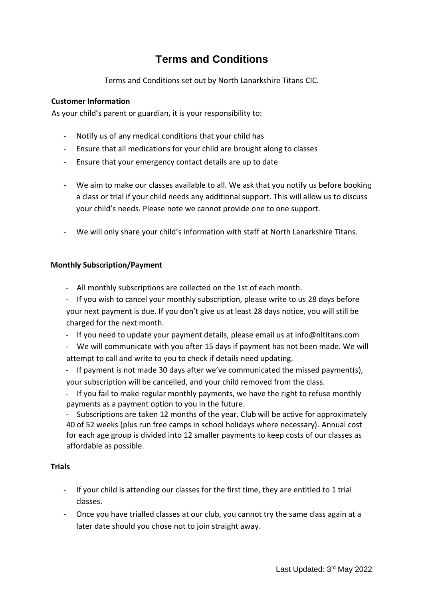# **Terms and Conditions**

Terms and Conditions set out by North Lanarkshire Titans CIC.

# **Customer Information**

As your child's parent or guardian, it is your responsibility to:

- Notify us of any medical conditions that your child has
- Ensure that all medications for your child are brought along to classes
- Ensure that your emergency contact details are up to date
- We aim to make our classes available to all. We ask that you notify us before booking a class or trial if your child needs any additional support. This will allow us to discuss your child's needs. Please note we cannot provide one to one support.
- We will only share your child's information with staff at North Lanarkshire Titans.

### **Monthly Subscription/Payment**

- All monthly subscriptions are collected on the 1st of each month.
- If you wish to cancel your monthly subscription, please write to us 28 days before your next payment is due. If you don't give us at least 28 days notice, you will still be charged for the next month.
- If you need to update your payment details, please email us at info@nltitans.com
- We will communicate with you after 15 days if payment has not been made. We will attempt to call and write to you to check if details need updating.
- If payment is not made 30 days after we've communicated the missed payment(s), your subscription will be cancelled, and your child removed from the class.
- If you fail to make regular monthly payments, we have the right to refuse monthly payments as a payment option to you in the future.

- Subscriptions are taken 12 months of the year. Club will be active for approximately 40 of 52 weeks (plus run free camps in school holidays where necessary). Annual cost for each age group is divided into 12 smaller payments to keep costs of our classes as affordable as possible.

## **Trials**

- If your child is attending our classes for the first time, they are entitled to 1 trial classes.
- Once you have trialled classes at our club, you cannot try the same class again at a later date should you chose not to join straight away.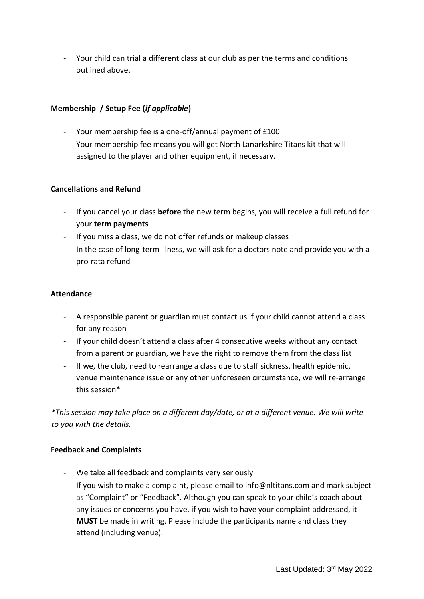- Your child can trial a different class at our club as per the terms and conditions outlined above.

## **Membership / Setup Fee (***if applicable***)**

- Your membership fee is a one-off/annual payment of £100
- Your membership fee means you will get North Lanarkshire Titans kit that will assigned to the player and other equipment, if necessary.

### **Cancellations and Refund**

- If you cancel your class **before** the new term begins, you will receive a full refund for your **term payments**
- If you miss a class, we do not offer refunds or makeup classes
- In the case of long-term illness, we will ask for a doctors note and provide you with a pro-rata refund

#### **Attendance**

- A responsible parent or guardian must contact us if your child cannot attend a class for any reason
- If your child doesn't attend a class after 4 consecutive weeks without any contact from a parent or guardian, we have the right to remove them from the class list
- If we, the club, need to rearrange a class due to staff sickness, health epidemic, venue maintenance issue or any other unforeseen circumstance, we will re-arrange this session\*

*\*This session may take place on a different day/date, or at a different venue. We will write to you with the details.*

#### **Feedback and Complaints**

- We take all feedback and complaints very seriously
- If you wish to make a complaint, please email to info@nltitans.com and mark subject as "Complaint" or "Feedback". Although you can speak to your child's coach about any issues or concerns you have, if you wish to have your complaint addressed, it **MUST** be made in writing. Please include the participants name and class they attend (including venue).